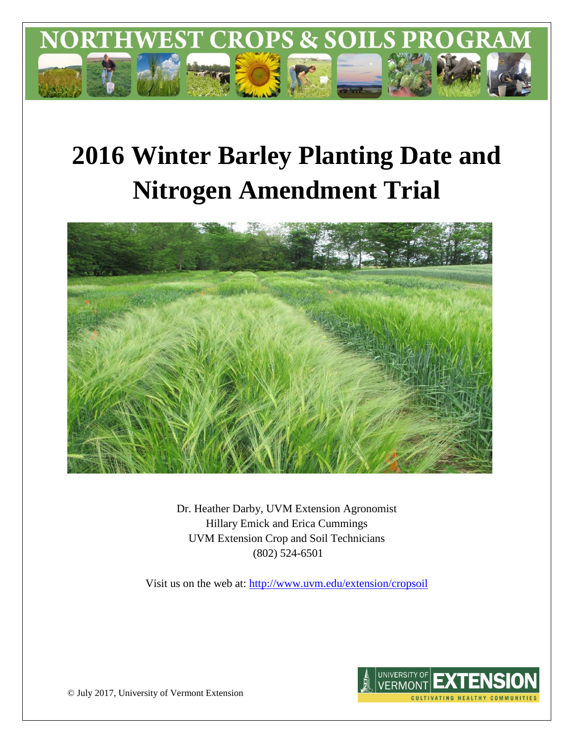

# **2016 Winter Barley Planting Date and Nitrogen Amendment Trial**



Dr. Heather Darby, UVM Extension Agronomist Hillary Emick and Erica Cummings UVM Extension Crop and Soil Technicians (802) 524-6501

Visit us on the web at:<http://www.uvm.edu/extension/cropsoil>



© July 2017, University of Vermont Extension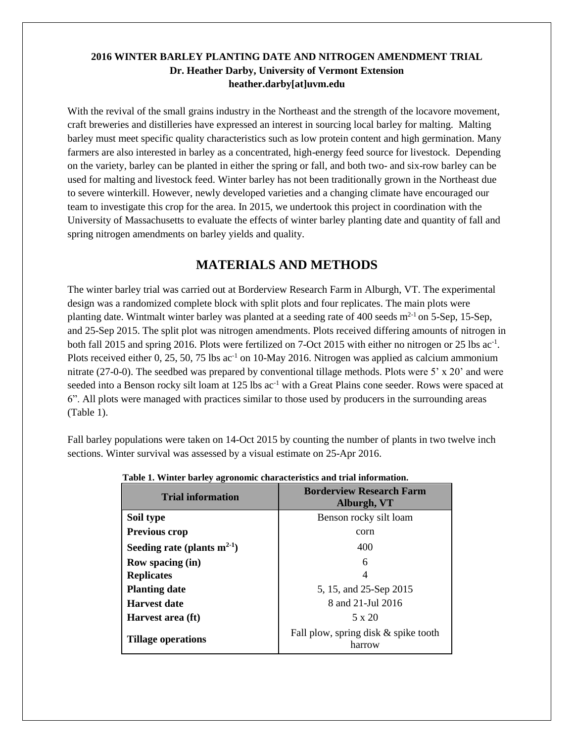### **2016 WINTER BARLEY PLANTING DATE AND NITROGEN AMENDMENT TRIAL Dr. Heather Darby, University of Vermont Extension heather.darby[at]uvm.edu**

With the revival of the small grains industry in the Northeast and the strength of the locavore movement, craft breweries and distilleries have expressed an interest in sourcing local barley for malting. Malting barley must meet specific quality characteristics such as low protein content and high germination. Many farmers are also interested in barley as a concentrated, high-energy feed source for livestock. Depending on the variety, barley can be planted in either the spring or fall, and both two- and six-row barley can be used for malting and livestock feed. Winter barley has not been traditionally grown in the Northeast due to severe winterkill. However, newly developed varieties and a changing climate have encouraged our team to investigate this crop for the area. In 2015, we undertook this project in coordination with the University of Massachusetts to evaluate the effects of winter barley planting date and quantity of fall and spring nitrogen amendments on barley yields and quality.

# **MATERIALS AND METHODS**

The winter barley trial was carried out at Borderview Research Farm in Alburgh, VT. The experimental design was a randomized complete block with split plots and four replicates. The main plots were planting date. Wintmalt winter barley was planted at a seeding rate of 400 seeds  $m<sup>2-1</sup>$  on 5-Sep, 15-Sep, and 25-Sep 2015. The split plot was nitrogen amendments. Plots received differing amounts of nitrogen in both fall 2015 and spring 2016. Plots were fertilized on 7-Oct 2015 with either no nitrogen or 25 lbs ac<sup>-1</sup>. Plots received either 0, 25, 50, 75 lbs ac<sup>-1</sup> on 10-May 2016. Nitrogen was applied as calcium ammonium nitrate (27-0-0). The seedbed was prepared by conventional tillage methods. Plots were 5' x 20' and were seeded into a Benson rocky silt loam at 125 lbs ac<sup>-1</sup> with a Great Plains cone seeder. Rows were spaced at 6". All plots were managed with practices similar to those used by producers in the surrounding areas (Table 1).

Fall barley populations were taken on 14-Oct 2015 by counting the number of plants in two twelve inch sections. Winter survival was assessed by a visual estimate on 25-Apr 2016.

| <b>Trial information</b>         | <b>Borderview Research Farm</b><br>Alburgh, VT |
|----------------------------------|------------------------------------------------|
| Soil type                        | Benson rocky silt loam                         |
| <b>Previous crop</b>             | corn                                           |
| Seeding rate (plants $m^{2-1}$ ) | 400                                            |
| Row spacing (in)                 | 6                                              |
| <b>Replicates</b>                | 4                                              |
| <b>Planting date</b>             | 5, 15, and 25-Sep 2015                         |
| <b>Harvest date</b>              | 8 and 21-Jul 2016                              |
| Harvest area (ft)                | $5 \times 20$                                  |
| <b>Tillage operations</b>        | Fall plow, spring disk & spike tooth<br>harrow |

**Table 1. Winter barley agronomic characteristics and trial information.**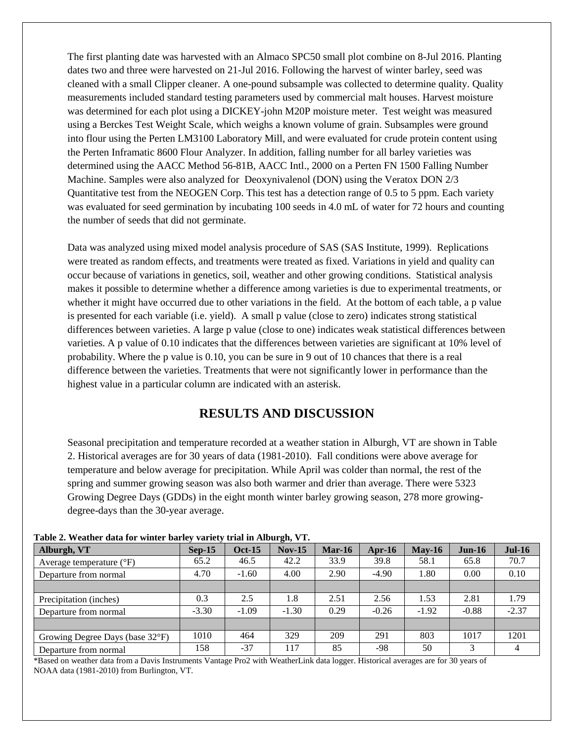The first planting date was harvested with an Almaco SPC50 small plot combine on 8-Jul 2016. Planting dates two and three were harvested on 21-Jul 2016. Following the harvest of winter barley, seed was cleaned with a small Clipper cleaner. A one-pound subsample was collected to determine quality. Quality measurements included standard testing parameters used by commercial malt houses. Harvest moisture was determined for each plot using a DICKEY-john M20P moisture meter. Test weight was measured using a Berckes Test Weight Scale, which weighs a known volume of grain. Subsamples were ground into flour using the Perten LM3100 Laboratory Mill, and were evaluated for crude protein content using the Perten Inframatic 8600 Flour Analyzer. In addition, falling number for all barley varieties was determined using the AACC Method 56-81B, AACC Intl., 2000 on a Perten FN 1500 Falling Number Machine. Samples were also analyzed for Deoxynivalenol (DON) using the Veratox DON 2/3 Quantitative test from the NEOGEN Corp. This test has a detection range of 0.5 to 5 ppm. Each variety was evaluated for seed germination by incubating 100 seeds in 4.0 mL of water for 72 hours and counting the number of seeds that did not germinate.

Data was analyzed using mixed model analysis procedure of SAS (SAS Institute, 1999). Replications were treated as random effects, and treatments were treated as fixed. Variations in yield and quality can occur because of variations in genetics, soil, weather and other growing conditions. Statistical analysis makes it possible to determine whether a difference among varieties is due to experimental treatments, or whether it might have occurred due to other variations in the field. At the bottom of each table, a p value is presented for each variable (i.e. yield). A small p value (close to zero) indicates strong statistical differences between varieties. A large p value (close to one) indicates weak statistical differences between varieties. A p value of 0.10 indicates that the differences between varieties are significant at 10% level of probability. Where the p value is 0.10, you can be sure in 9 out of 10 chances that there is a real difference between the varieties. Treatments that were not significantly lower in performance than the highest value in a particular column are indicated with an asterisk.

# **RESULTS AND DISCUSSION**

Seasonal precipitation and temperature recorded at a weather station in Alburgh, VT are shown in Table 2. Historical averages are for 30 years of data (1981-2010). Fall conditions were above average for temperature and below average for precipitation. While April was colder than normal, the rest of the spring and summer growing season was also both warmer and drier than average. There were 5323 Growing Degree Days (GDDs) in the eight month winter barley growing season, 278 more growingdegree-days than the 30-year average.

|                                   | THEIR SETTLEMENT WHEN THE BELLEVIT BELLEVIT CHAIR IN THE WEIGHT THE |               |          |          |         |          |          |          |
|-----------------------------------|---------------------------------------------------------------------|---------------|----------|----------|---------|----------|----------|----------|
| Alburgh, VT                       | $Sep-15$                                                            | <b>Oct-15</b> | $Nov-15$ | $Mar-16$ | Apr-16  | $May-16$ | $Jun-16$ | $Jul-16$ |
| Average temperature $(^{\circ}F)$ | 65.2                                                                | 46.5          | 42.2     | 33.9     | 39.8    | 58.1     | 65.8     | 70.7     |
| Departure from normal             | 4.70                                                                | $-1.60$       | 4.00     | 2.90     | $-4.90$ | 1.80     | 0.00     | 0.10     |
|                                   |                                                                     |               |          |          |         |          |          |          |
| Precipitation (inches)            | 0.3                                                                 | 2.5           | 1.8      | 2.51     | 2.56    | 1.53     | 2.81     | 1.79     |
| Departure from normal             | $-3.30$                                                             | $-1.09$       | $-1.30$  | 0.29     | $-0.26$ | $-1.92$  | $-0.88$  | $-2.37$  |
|                                   |                                                                     |               |          |          |         |          |          |          |
| Growing Degree Days (base 32°F)   | 1010                                                                | 464           | 329      | 209      | 291     | 803      | 1017     | 1201     |
| Departure from normal             | 158                                                                 | $-37$         | 117      | 85       | -98     | 50       |          | 4        |

**Table 2. Weather data for winter barley variety trial in Alburgh, VT.**

\*Based on weather data from a Davis Instruments Vantage Pro2 with WeatherLink data logger. Historical averages are for 30 years of NOAA data (1981-2010) from Burlington, VT.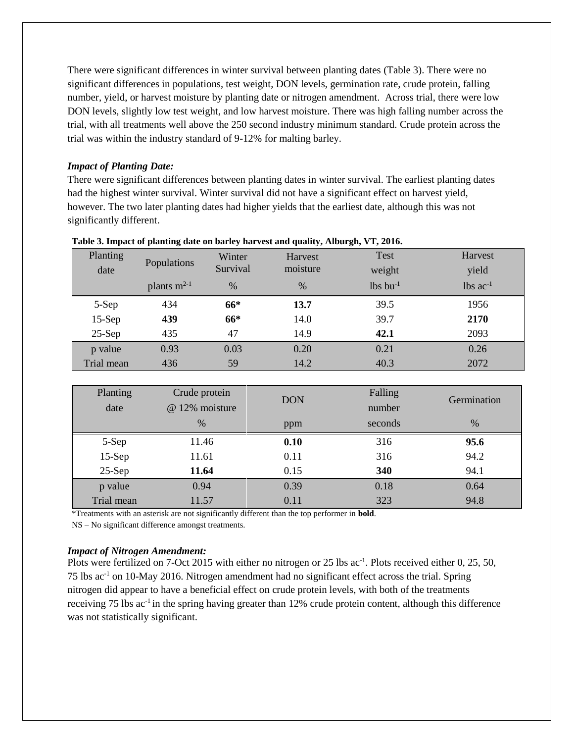There were significant differences in winter survival between planting dates (Table 3). There were no significant differences in populations, test weight, DON levels, germination rate, crude protein, falling number, yield, or harvest moisture by planting date or nitrogen amendment. Across trial, there were low DON levels, slightly low test weight, and low harvest moisture. There was high falling number across the trial, with all treatments well above the 250 second industry minimum standard. Crude protein across the trial was within the industry standard of 9-12% for malting barley.

#### *Impact of Planting Date:*

There were significant differences between planting dates in winter survival. The earliest planting dates had the highest winter survival. Winter survival did not have a significant effect on harvest yield, however. The two later planting dates had higher yields that the earliest date, although this was not significantly different.

| Planting<br>date | Populations      | Winter<br>Survival | <b>Harvest</b><br>moisture | <b>Test</b><br>weight  | Harvest<br>yield       |
|------------------|------------------|--------------------|----------------------------|------------------------|------------------------|
|                  | plants $m^{2-1}$ | $\frac{0}{0}$      | $\%$                       | $lbs$ bu <sup>-1</sup> | $lbs$ ac <sup>-1</sup> |
| 5-Sep            | 434              | 66*                | 13.7                       | 39.5                   | 1956                   |
| $15-Sep$         | 439              | 66*                | 14.0                       | 39.7                   | 2170                   |
| $25-Sep$         | 435              | 47                 | 14.9                       | 42.1                   | 2093                   |
| p value          | 0.93             | 0.03               | 0.20                       | 0.21                   | 0.26                   |
| Trial mean       | 436              | 59                 | 14.2                       | 40.3                   | 2072                   |

|  |  | Table 3. Impact of planting date on barley harvest and quality, Alburgh, VT, 2016. |  |  |
|--|--|------------------------------------------------------------------------------------|--|--|
|  |  |                                                                                    |  |  |

| Planting<br>date | Crude protein<br>@ 12% moisture | <b>DON</b> | Falling<br>number | Germination |
|------------------|---------------------------------|------------|-------------------|-------------|
|                  | $\%$                            | ppm        | seconds           | $\%$        |
| 5-Sep            | 11.46                           | 0.10       | 316               | 95.6        |
| $15-Sep$         | 11.61                           | 0.11       | 316               | 94.2        |
| $25-Sep$         | 11.64                           | 0.15       | 340               | 94.1        |
| p value          | 0.94                            | 0.39       | 0.18              | 0.64        |
| Trial mean       | 11.57                           | 0.11       | 323               | 94.8        |

\*Treatments with an asterisk are not significantly different than the top performer in **bold**.

NS – No significant difference amongst treatments.

#### *Impact of Nitrogen Amendment:*

Plots were fertilized on 7-Oct 2015 with either no nitrogen or 25 lbs ac<sup>-1</sup>. Plots received either 0, 25, 50, 75 lbs ac-1 on 10-May 2016. Nitrogen amendment had no significant effect across the trial. Spring nitrogen did appear to have a beneficial effect on crude protein levels, with both of the treatments receiving 75 lbs ac<sup>-1</sup> in the spring having greater than 12% crude protein content, although this difference was not statistically significant.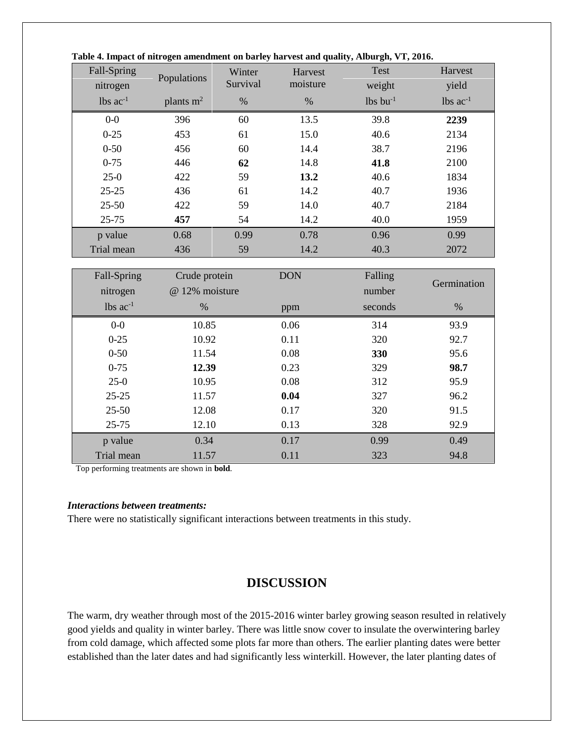| Fall-Spring<br>nitrogen | Populations | Winter<br>Survival | Harvest<br>moisture | <b>Test</b><br>weight  | Harvest<br>yield |
|-------------------------|-------------|--------------------|---------------------|------------------------|------------------|
| $lbs$ ac <sup>-1</sup>  | plants $m2$ | $\%$               | %                   | $lbs$ bu <sup>-1</sup> | $lbs$ $ac^{-1}$  |
| $0-0$                   | 396         | 60                 | 13.5                | 39.8                   | 2239             |
| $0 - 25$                | 453         | 61                 | 15.0                | 40.6                   | 2134             |
| $0 - 50$                | 456         | 60                 | 14.4                | 38.7                   | 2196             |
| $0 - 75$                | 446         | 62                 | 14.8                | 41.8                   | 2100             |
| $25-0$                  | 422         | 59                 | 13.2                | 40.6                   | 1834             |
| $25 - 25$               | 436         | 61                 | 14.2                | 40.7                   | 1936             |
| $25 - 50$               | 422         | 59                 | 14.0                | 40.7                   | 2184             |
| $25 - 75$               | 457         | 54                 | 14.2                | 40.0                   | 1959             |
| p value                 | 0.68        | 0.99               | 0.78                | 0.96                   | 0.99             |
| Trial mean              | 436         | 59                 | 14.2                | 40.3                   | 2072             |

| Table 4. Impact of nitrogen amendment on barley harvest and quality, Alburgh, VT, 2016. |  |  |  |  |
|-----------------------------------------------------------------------------------------|--|--|--|--|

| Fall-Spring            | Crude protein  | <b>DON</b> | Falling | Germination |
|------------------------|----------------|------------|---------|-------------|
| nitrogen               | @ 12% moisture |            | number  |             |
| $lbs$ ac <sup>-1</sup> | $\%$           | ppm        | seconds | $\%$        |
| $0-0$                  | 10.85          | 0.06       | 314     | 93.9        |
| $0 - 25$               | 10.92          | 0.11       | 320     | 92.7        |
| $0 - 50$               | 11.54          | 0.08       | 330     | 95.6        |
| $0 - 75$               | 12.39          | 0.23       | 329     | 98.7        |
| $25-0$                 | 10.95          | 0.08       | 312     | 95.9        |
| $25 - 25$              | 11.57          | 0.04       | 327     | 96.2        |
| $25 - 50$              | 12.08          | 0.17       | 320     | 91.5        |
| $25 - 75$              | 12.10          | 0.13       | 328     | 92.9        |
| p value                | 0.34           | 0.17       | 0.99    | 0.49        |
| Trial mean             | 11.57          | 0.11       | 323     | 94.8        |

Top performing treatments are shown in **bold**.

#### *Interactions between treatments:*

There were no statistically significant interactions between treatments in this study.

## **DISCUSSION**

The warm, dry weather through most of the 2015-2016 winter barley growing season resulted in relatively good yields and quality in winter barley. There was little snow cover to insulate the overwintering barley from cold damage, which affected some plots far more than others. The earlier planting dates were better established than the later dates and had significantly less winterkill. However, the later planting dates of